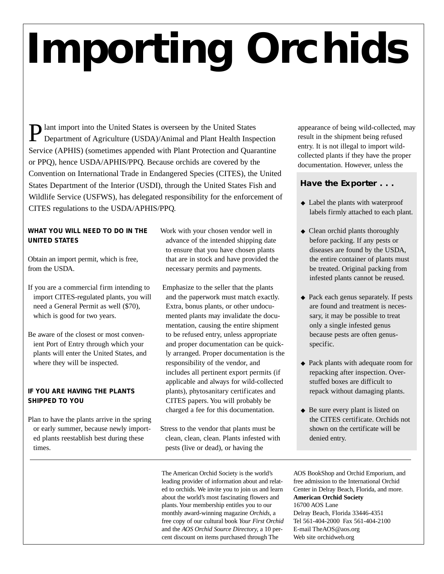# **Importing Orchids**

**Plant import into the United States is overseen by the United States** Department of Agriculture (USDA)/Animal and Plant Health Inspection Service (APHIS) (sometimes appended with Plant Protection and Quarantine or PPQ), hence USDA/APHIS/PPQ. Because orchids are covered by the Convention on International Trade in Endangered Species (CITES), the United States Department of the Interior (USDI), through the United States Fish and Wildlife Service (USFWS), has delegated responsibility for the enforcement of CITES regulations to the USDA/APHIS/PPQ.

## **WHAT YOU WILL NEED TO DO IN THE UNITED STATES**

Obtain an import permit, which is free, from the USDA.

If you are a commercial firm intending to import CITES-regulated plants, you will need a General Permit as well (\$70), which is good for two years.

Be aware of the closest or most convenient Port of Entry through which your plants will enter the United States, and where they will be inspected.

## **IF YOU ARE HAVING THE PLANTS SHIPPED TO YOU**

Plan to have the plants arrive in the spring or early summer, because newly imported plants reestablish best during these times.

Work with your chosen vendor well in advance of the intended shipping date to ensure that you have chosen plants that are in stock and have provided the necessary permits and payments.

- Emphasize to the seller that the plants and the paperwork must match exactly. Extra, bonus plants, or other undocumented plants may invalidate the documentation, causing the entire shipment to be refused entry, unless appropriate and proper documentation can be quickly arranged. Proper documentation is the responsibility of the vendor, and includes all pertinent export permits (if applicable and always for wild-collected plants), phytosanitary certificates and CITES papers. You will probably be charged a fee for this documentation.
- Stress to the vendor that plants must be clean, clean, clean. Plants infested with pests (live or dead), or having the

The American Orchid Society is the world's leading provider of information about and related to orchids. We invite you to join us and learn about the world's most fascinating flowers and plants. Your membership entitles you to our monthly award-winning magazine *Orchids,* a free copy of our cultural book *Your First Orchid* and the *AOS Orchid Source Directory,* a 10 percent discount on items purchased through The

appearance of being wild-collected, may result in the shipment being refused entry. It is not illegal to import wildcollected plants if they have the proper documentation. However, unless the

# **Have the Exporter . . .**

- ◆ Label the plants with waterproof labels firmly attached to each plant.
- ◆ Clean orchid plants thoroughly before packing. If any pests or diseases are found by the USDA, the entire container of plants must be treated. Original packing from infested plants cannot be reused.
- ◆ Pack each genus separately. If pests are found and treatment is necessary, it may be possible to treat only a single infested genus because pests are often genusspecific.
- ◆ Pack plants with adequate room for repacking after inspection. Overstuffed boxes are difficult to repack without damaging plants.
- ◆ Be sure every plant is listed on the CITES certificate. Orchids not shown on the certificate will be denied entry.

AOS BookShop and Orchid Emporium, and free admission to the International Orchid Center in Delray Beach, Florida, and more. **American Orchid Society** 16700 AOS Lane Delray Beach, Florida 33446-4351 Tel 561-404-2000 Fax 561-404-2100 E-mail TheAOS@aos.org Web site orchidweb.org